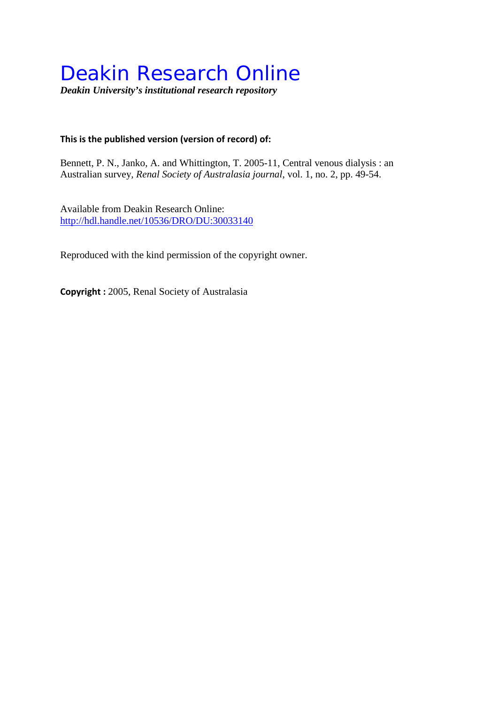## Deakin Research Online

*Deakin University's institutional research repository*

#### **This is the published version (version of record) of:**

Bennett, P. N., Janko, A. and Whittington, T. 2005-11, Central venous dialysis : an Australian survey*, Renal Society of Australasia journal*, vol. 1, no. 2, pp. 49-54.

Available from Deakin Research Online: <http://hdl.handle.net/10536/DRO/DU:30033140>

Reproduced with the kind permission of the copyright owner.

**Copyright :** 2005, Renal Society of Australasia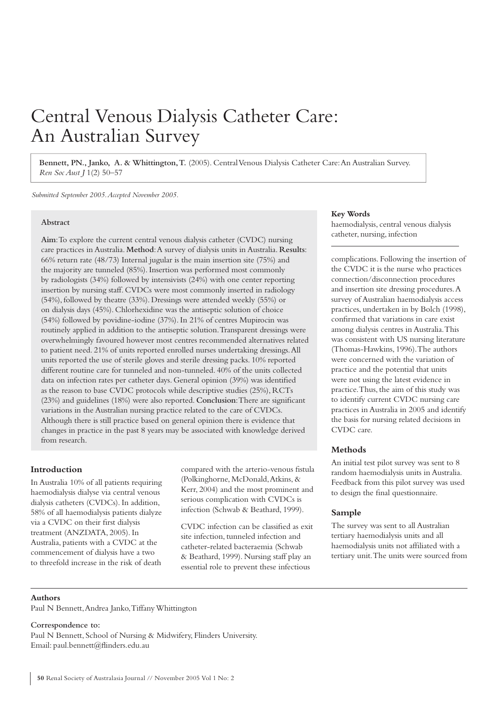### Central Venous Dialysis Catheter Care: An Australian Survey

**Bennett, PN., Janko, A. & Whittington, T.** (2005). Central Venous Dialysis Catheter Care: An Australian Survey. *Ren Soc Aust J* 1(2) 50–57

*Submitted September 2005. Accepted November 2005.*

#### **Abstract**

**Aim**: To explore the current central venous dialysis catheter (CVDC) nursing care practices in Australia. **Method**: A survey of dialysis units in Australia. **Results**: 66% return rate (48/73) Internal jugular is the main insertion site (75%) and the majority are tunneled (85%). Insertion was performed most commonly by radiologists (34%) followed by intensivists (24%) with one center reporting insertion by nursing staff. CVDCs were most commonly inserted in radiology (54%), followed by theatre (33%). Dressings were attended weekly (55%) or on dialysis days (45%). Chlorhexidine was the antiseptic solution of choice (54%) followed by povidine-iodine (37%). In 21% of centres Mupirocin was routinely applied in addition to the antiseptic solution. Transparent dressings were overwhelmingly favoured however most centres recommended alternatives related to patient need. 21% of units reported enrolled nurses undertaking dressings. All units reported the use of sterile gloves and sterile dressing packs. 10% reported different routine care for tunneled and non-tunneled. 40% of the units collected data on infection rates per catheter days. General opinion (39%) was identified as the reason to base CVDC protocols while descriptive studies (25%), RCTs (23%) and guidelines (18%) were also reported. **Conclusion**: There are significant variations in the Australian nursing practice related to the care of CVDCs. Although there is still practice based on general opinion there is evidence that changes in practice in the past 8 years may be associated with knowledge derived from research.

#### **Introduction**

In Australia 10% of all patients requiring haemodialysis dialyse via central venous dialysis catheters (CVDCs). In addition, 58% of all haemodialysis patients dialyze via a CVDC on their first dialysis treatment (ANZDATA, 2005). In Australia, patients with a CVDC at the commencement of dialysis have a two to threefold increase in the risk of death

compared with the arterio-venous fistula (Polkinghorne, McDonald, Atkins, & Kerr, 2004) and the most prominent and serious complication with CVDCs is infection (Schwab & Beathard, 1999).

CVDC infection can be classified as exit. site infection, tunneled infection and catheter-related bacteraemia (Schwab & Beathard, 1999). Nursing staff play an essential role to prevent these infectious

#### **Key Words**

haemodialysis, central venous dialysis catheter, nursing, infection

complications. Following the insertion of the CVDC it is the nurse who practices connection/disconnection procedures and insertion site dressing procedures. A survey of Australian haemodialysis access practices, undertaken in by Bolch (1998), confirmed that variations in care exist among dialysis centres in Australia. This was consistent with US nursing literature (Thomas-Hawkins, 1996). The authors were concerned with the variation of practice and the potential that units were not using the latest evidence in practice. Thus, the aim of this study was to identify current CVDC nursing care practices in Australia in 2005 and identify the basis for nursing related decisions in CVDC care.

#### **Methods**

An initial test pilot survey was sent to 8 random haemodialysis units in Australia. Feedback from this pilot survey was used to design the final questionnaire.

#### **Sample**

The survey was sent to all Australian tertiary haemodialysis units and all haemodialysis units not affiliated with a tertiary unit. The units were sourced from

#### **Authors**

Paul N Bennett, Andrea Janko, Tiffany Whittington

#### **Correspondence to:**

Paul N Bennett, School of Nursing & Midwifery, Flinders University. Email: paul.bennett@flinders.edu.au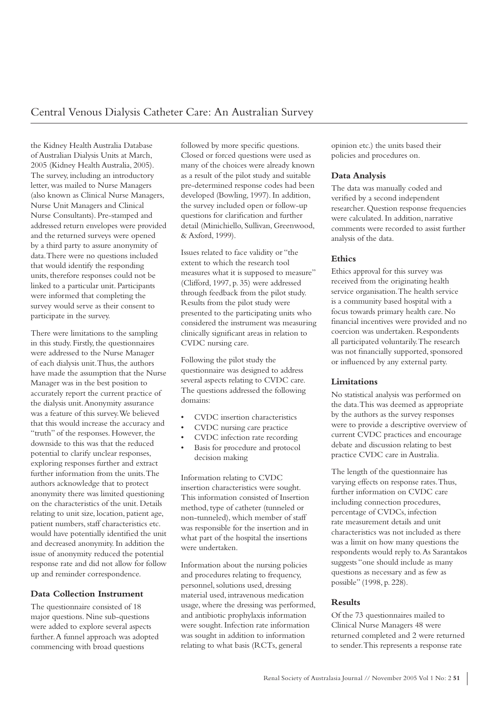the Kidney Health Australia Database of Australian Dialysis Units at March, 2005 (Kidney Health Australia, 2005). The survey, including an introductory letter, was mailed to Nurse Managers (also known as Clinical Nurse Managers, Nurse Unit Managers and Clinical Nurse Consultants). Pre-stamped and addressed return envelopes were provided and the returned surveys were opened by a third party to assure anonymity of data. There were no questions included that would identify the responding units, therefore responses could not be linked to a particular unit. Participants were informed that completing the survey would serve as their consent to participate in the survey.

There were limitations to the sampling in this study. Firstly, the questionnaires were addressed to the Nurse Manager of each dialysis unit. Thus, the authors have made the assumption that the Nurse Manager was in the best position to accurately report the current practice of the dialysis unit. Anonymity assurance was a feature of this survey. We believed that this would increase the accuracy and "truth" of the responses. However, the downside to this was that the reduced potential to clarify unclear responses, exploring responses further and extract further information from the units. The authors acknowledge that to protect anonymity there was limited questioning on the characteristics of the unit. Details relating to unit size, location, patient age, patient numbers, staff characteristics etc. would have potentially identified the unit and decreased anonymity. In addition the issue of anonymity reduced the potential response rate and did not allow for follow up and reminder correspondence.

#### **Data Collection Instrument**

The questionnaire consisted of 18 major questions. Nine sub-questions were added to explore several aspects further. A funnel approach was adopted commencing with broad questions

followed by more specific questions. Closed or forced questions were used as many of the choices were already known as a result of the pilot study and suitable pre-determined response codes had been developed (Bowling, 1997). In addition, the survey included open or follow-up questions for clarification and further detail (Minichiello, Sullivan, Greenwood, & Axford, 1999).

Issues related to face validity or "the extent to which the research tool measures what it is supposed to measure" (Clifford, 1997, p. 35) were addressed through feedback from the pilot study. Results from the pilot study were presented to the participating units who considered the instrument was measuring clinically significant areas in relation to CVDC nursing care.

Following the pilot study the questionnaire was designed to address several aspects relating to CVDC care. The questions addressed the following domains:

- CVDC insertion characteristics
- CVDC nursing care practice
- CVDC infection rate recording
- Basis for procedure and protocol decision making

Information relating to CVDC insertion characteristics were sought. This information consisted of Insertion method, type of catheter (tunneled or non-tunneled), which member of staff was responsible for the insertion and in what part of the hospital the insertions were undertaken.

Information about the nursing policies and procedures relating to frequency, personnel, solutions used, dressing material used, intravenous medication usage, where the dressing was performed, and antibiotic prophylaxis information were sought. Infection rate information was sought in addition to information relating to what basis (RCTs, general

opinion etc.) the units based their policies and procedures on.

#### **Data Analysis**

The data was manually coded and verified by a second independent researcher. Question response frequencies were calculated. In addition, narrative comments were recorded to assist further analysis of the data.

#### **Ethics**

Ethics approval for this survey was received from the originating health service organisation. The health service is a community based hospital with a focus towards primary health care. No financial incentives were provided and no coercion was undertaken. Respondents all participated voluntarily. The research was not financially supported, sponsored or influenced by any external party.

#### **Limitations**

No statistical analysis was performed on the data. This was deemed as appropriate by the authors as the survey responses were to provide a descriptive overview of current CVDC practices and encourage debate and discussion relating to best practice CVDC care in Australia.

The length of the questionnaire has varying effects on response rates. Thus, further information on CVDC care including connection procedures, percentage of CVDCs, infection rate measurement details and unit characteristics was not included as there was a limit on how many questions the respondents would reply to. As Sarantakos suggests "one should include as many questions as necessary and as few as possible" (1998, p. 228).

#### **Results**

Of the 73 questionnaires mailed to Clinical Nurse Managers 48 were returned completed and 2 were returned to sender. This represents a response rate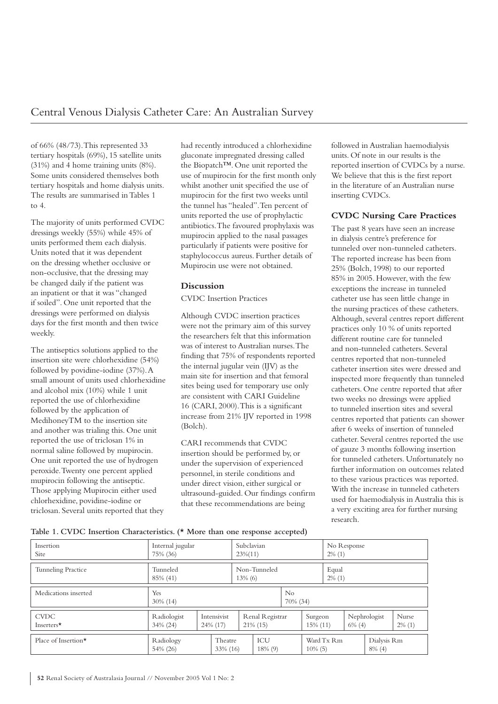of 66% (48/73). This represented 33 tertiary hospitals (69%), 15 satellite units (31%) and 4 home training units (8%). Some units considered themselves both tertiary hospitals and home dialysis units. The results are summarised in Tables 1 to 4.

The majority of units performed CVDC dressings weekly (55%) while 45% of units performed them each dialysis. Units noted that it was dependent on the dressing whether occlusive or non-occlusive, that the dressing may be changed daily if the patient was an inpatient or that it was "changed if soiled". One unit reported that the dressings were performed on dialysis days for the first month and then twice weekly.

The antiseptics solutions applied to the insertion site were chlorhexidine (54%) followed by povidine-iodine (37%). A small amount of units used chlorhexidine and alcohol mix (10%) while 1 unit reported the use of chlorhexidine followed by the application of MedihoneyTM to the insertion site and another was trialing this. One unit reported the use of triclosan 1% in normal saline followed by mupirocin. One unit reported the use of hydrogen peroxide. Twenty one percent applied mupirocin following the antiseptic. Those applying Mupirocin either used chlorhexidine, povidine-iodine or triclosan. Several units reported that they

had recently introduced a chlorhexidine gluconate impregnated dressing called the Biopatch™. One unit reported the use of mupirocin for the first month only whilst another unit specified the use of mupirocin for the first two weeks until the tunnel has "healed". Ten percent of units reported the use of prophylactic antibiotics. The favoured prophylaxis was mupirocin applied to the nasal passages particularly if patients were positive for staphylococcus aureus. Further details of Mupirocin use were not obtained.

#### **Discussion**

CVDC Insertion Practices

Although CVDC insertion practices were not the primary aim of this survey the researchers felt that this information was of interest to Australian nurses. The finding that 75% of respondents reported the internal jugular vein (IJV) as the main site for insertion and that femoral sites being used for temporary use only are consistent with CARI Guideline 16 (CARI, 2000). This is a significant increase from 21% IJV reported in 1998 (Bolch).

CARI recommends that CVDC insertion should be performed by, or under the supervision of experienced personnel, in sterile conditions and under direct vision, either surgical or ultrasound-guided. Our findings confirm that these recommendations are being

followed in Australian haemodialysis units. Of note in our results is the reported insertion of CVDCs by a nurse. We believe that this is the first report in the literature of an Australian nurse inserting CVDCs.

#### **CVDC Nursing Care Practices**

The past 8 years have seen an increase in dialysis centre's preference for tunneled over non-tunneled catheters. The reported increase has been from 25% (Bolch, 1998) to our reported 85% in 2005. However, with the few exceptions the increase in tunneled catheter use has seen little change in the nursing practices of these catheters. Although, several centres report different practices only 10 % of units reported different routine care for tunneled and non-tunneled catheters. Several centres reported that non-tunneled catheter insertion sites were dressed and inspected more frequently than tunneled catheters. One centre reported that after two weeks no dressings were applied to tunneled insertion sites and several centres reported that patients can shower after 6 weeks of insertion of tunneled catheter. Several centres reported the use of gauze 3 months following insertion for tunneled catheters. Unfortunately no further information on outcomes related to these various practices was reported. With the increase in tunneled catheters used for haemodialysis in Australia this is a very exciting area for further nursing research.

| Table 1. CVDC Insertion Characteristics. (* More than one response accepted) |  |  |
|------------------------------------------------------------------------------|--|--|
|------------------------------------------------------------------------------|--|--|

| Insertion<br><b>Site</b>   | Internal jugular<br>75% (36) |  | Subclavian<br>$23\%(11)$   |                                | No Response<br>$2\%$ (1) |                     |            |            |           |                          |                           |
|----------------------------|------------------------------|--|----------------------------|--------------------------------|--------------------------|---------------------|------------|------------|-----------|--------------------------|---------------------------|
| <b>Tunneling Practice</b>  | Tunneled<br>85% (41)         |  | Non-Tunneled<br>$13\%$ (6) |                                | Equal<br>$2\%$ (1)       |                     |            |            |           |                          |                           |
| Medications inserted       | Yes<br>$30\%$ (14)           |  |                            | N <sub>o</sub><br>70% (34)     |                          |                     |            |            |           |                          |                           |
| <b>CVDC</b><br>Inserters*  | Radiologist<br>$34\% (24)$   |  | Intensivist<br>24% (17)    | Renal Registrar<br>$21\%$ (15) |                          | Surgeon<br>15% (11) |            |            | $6\%$ (4) | Nephrologist             | <b>Nurse</b><br>$2\%$ (1) |
| Place of Insertion $\star$ | Radiology<br>54% (26)        |  | Theatre<br>33% (16)        |                                | ICU<br>18% (9)           |                     | $10\%$ (5) | Ward Tx Rm |           | Dialysis Rm<br>$8\%$ (4) |                           |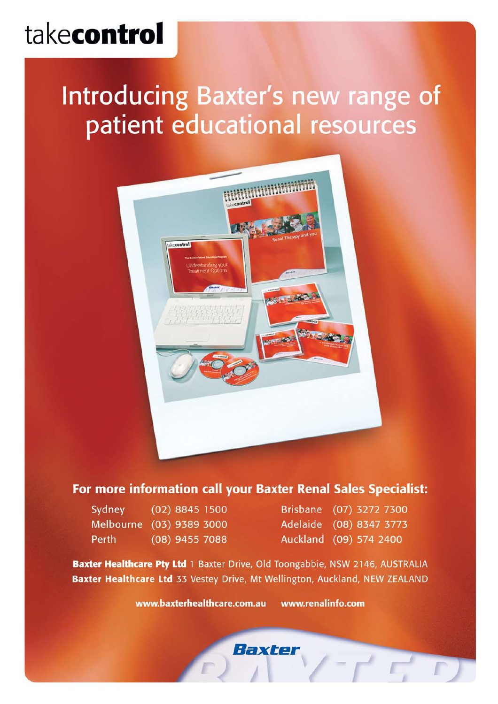# takecontrol

## Introducing Baxter's new range of patient educational resources



#### For more information call your Baxter Renal Sales Specialist:

| Sydney           | $(02)$ 8845 1500 |  |
|------------------|------------------|--|
| <b>Melbourne</b> | $(03)$ 9389 3000 |  |
| Perth            | $(08)$ 9455 7088 |  |

Brisbane (07) 3272 7300 Adelaide (08) 8347 3773 Auckland (09) 574 2400

Baxter Healthcare Pty Ltd 1 Baxter Drive, Old Toongabbie, NSW 2146, AUSTRALIA Baxter Healthcare Ltd 33 Vestey Drive, Mt Wellington, Auckland, NEW ZEALAND

> www.baxterhealthcare.com.au www.renalinfo.com

> > Baxter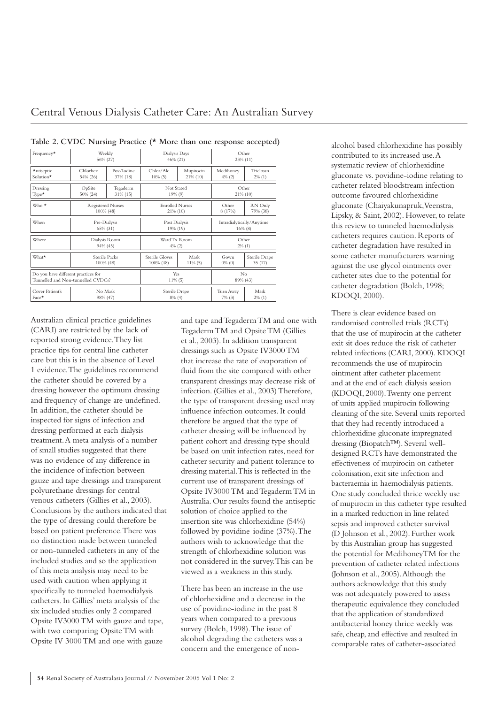| Frequency*                                                                | Weekly<br>56% (27)                    |                        | Dialysis Days<br>46% (21)                           |                | Other<br>23% (11)                       |                         |
|---------------------------------------------------------------------------|---------------------------------------|------------------------|-----------------------------------------------------|----------------|-----------------------------------------|-------------------------|
| Antiseptic<br>Solution*                                                   | Chlorhex<br>54% (26)                  | Pov/Iodine<br>37% (18) | Chlor/Alc<br>Mupirocin<br>$21\%$ (10)<br>$10\%$ (5) |                | Medihoney<br>$4\%$ (2)                  | Triclosan<br>$2\%$ (1)  |
| Dressing<br>$Type*$                                                       | OpSite<br>50% (24)                    | Tegaderm<br>31% (15)   | Not Stated<br>19% (9)                               |                | Other<br>21% (10)                       |                         |
| $Who*$                                                                    | <b>Registered Nurses</b><br>100% (48) |                        | <b>Enrolled Nurses</b><br>21% (10)                  |                | Other<br>8 (17%)                        | RN Only<br>79% (38)     |
| When                                                                      | Pre-Dialysis<br>65% (31)              |                        | Post Dialysis<br>19% (19)                           |                | Intradialytically/Anytime<br>$16\%$ (8) |                         |
| Where                                                                     | Dialysis Room<br>94% (45)             |                        | Ward Tx Room<br>$4\%$ (2)                           |                | Other<br>$2\%$ (1)                      |                         |
| What*                                                                     | Sterile Packs<br>100% (48)            |                        | Sterile Gloves<br>Mask<br>100% (48)<br>$11\%$ (5)   |                | Gown<br>$0\%$ (0)                       | Sterile Drape<br>35(17) |
| Do you have different practices for<br>Tunnelled and Non-tunnelled CVDCs? |                                       | Yes<br>$11\%$ (5)      |                                                     | No<br>89% (43) |                                         |                         |
| Cover Patient's<br>Face*                                                  | No Mask<br>98% (47)                   |                        | Sterile Drape<br>$8\%$ (4)                          |                | Turn Away<br>$7\%$ (3)                  | Mask<br>$2\%$ (1)       |

**Table 2. CVDC Nursing Practice (\* More than one response accepted)**

Australian clinical practice guidelines (CARI) are restricted by the lack of reported strong evidence. They list practice tips for central line catheter care but this is in the absence of Level 1 evidence. The guidelines recommend the catheter should be covered by a dressing however the optimum dressing and frequency of change are undefined. In addition, the catheter should be inspected for signs of infection and dressing performed at each dialysis treatment. A meta analysis of a number of small studies suggested that there was no evidence of any difference in the incidence of infection between gauze and tape dressings and transparent polyurethane dressings for central venous catheters (Gillies et al., 2003). Conclusions by the authors indicated that the type of dressing could therefore be based on patient preference. There was no distinction made between tunneled or non-tunneled catheters in any of the included studies and so the application of this meta analysis may need to be used with caution when applying it specifically to tunneled haemodialysis catheters. In Gillies' meta analysis of the six included studies only 2 compared Opsite IV3000 TM with gauze and tape, with two comparing Opsite TM with Opsite IV 3000 TM and one with gauze

and tape and Tegaderm TM and one with Tegaderm TM and Opsite TM (Gillies et al., 2003). In addition transparent dressings such as Opsite IV3000 TM that increase the rate of evaporation of fluid from the site compared with other transparent dressings may decrease risk of infection. (Gillies et al., 2003) Therefore, the type of transparent dressing used may influence infection outcomes. It could therefore be argued that the type of catheter dressing will be influenced by patient cohort and dressing type should be based on unit infection rates, need for catheter security and patient tolerance to dressing material. This is reflected in the current use of transparent dressings of Opsite IV3000 TM and Tegaderm TM in Australia. Our results found the antiseptic solution of choice applied to the insertion site was chlorhexidine (54%) followed by povidine-iodine (37%). The authors wish to acknowledge that the strength of chlorhexidine solution was not considered in the survey. This can be viewed as a weakness in this study.

There has been an increase in the use of chlorhexidine and a decrease in the use of povidine-iodine in the past 8 years when compared to a previous survey (Bolch, 1998). The issue of alcohol degrading the catheters was a concern and the emergence of nonalcohol based chlorhexidine has possibly contributed to its increased use. A systematic review of chlorhexidine gluconate vs. povidine-iodine relating to catheter related bloodstream infection outcome favoured chlorhexidine gluconate (Chaiyakunapruk, Veenstra, Lipsky, & Saint, 2002). However, to relate this review to tunneled haemodialysis catheters requires caution. Reports of catheter degradation have resulted in some catheter manufacturers warning against the use glycol ointments over catheter sites due to the potential for catheter degradation (Bolch, 1998; KDOQI, 2000).

There is clear evidence based on randomised controlled trials (RCTs) that the use of mupirocin at the catheter exit sit does reduce the risk of catheter related infections (CARI, 2000). KDOQI recommends the use of mupirocin ointment after catheter placement and at the end of each dialysis session (KDOQI, 2000). Twenty one percent of units applied mupirocin following cleaning of the site. Several units reported that they had recently introduced a chlorhexidine gluconate impregnated dressing (Biopatch™). Several welldesigned RCTs have demonstrated the effectiveness of mupirocin on catheter colonisation, exit site infection and bacteraemia in haemodialysis patients. One study concluded thrice weekly use of mupirocin in this catheter type resulted in a marked reduction in line related sepsis and improved catheter survival (D Johnson et al., 2002). Further work by this Australian group has suggested the potential for MedihoneyTM for the prevention of catheter related infections (Johnson et al., 2005). Although the authors acknowledge that this study was not adequately powered to assess therapeutic equivalence they concluded that the application of standardized antibacterial honey thrice weekly was safe, cheap, and effective and resulted in comparable rates of catheter-associated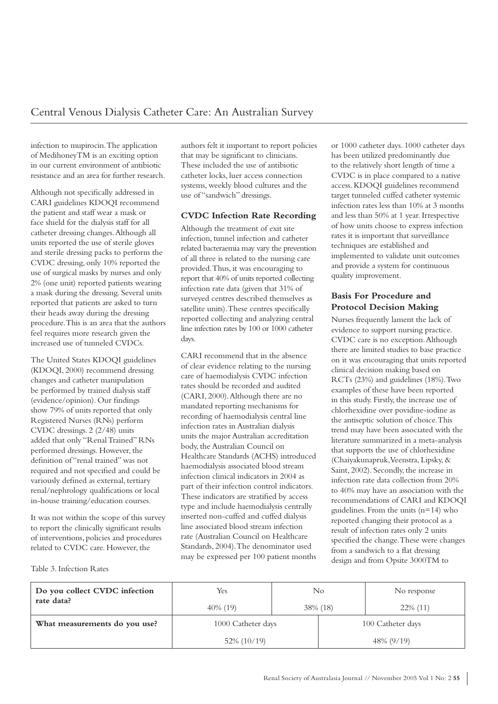infection to mupirocin. The application of MedihoneyTM is an exciting option in our current environment of antibiotic resistance and an area for further research.

Although not specifically addressed in CARI guidelines KDOQI recommend the patient and staff wear a mask or face shield for the dialysis staff for all catheter dressing changes. Although all units reported the use of sterile gloves and sterile dressing packs to perform the CVDC dressing, only 10% reported the use of surgical masks by nurses and only 2% (one unit) reported patients wearing a mask during the dressing. Several units reported that patients are asked to turn their heads away during the dressing procedure. This is an area that the authors feel requires more research given the increased use of tunneled CVDCs.

The United States KDOQI guidelines (KDOQI, 2000) recommend dressing changes and catheter manipulation be performed by trained dialysis staff (evidence/opinion). Our findings show 79% of units reported that only Registered Nurses (RNs) perform CVDC dressings. 2 (2/48) units added that only "Renal Trained" RNs performed dressings. However, the definition of "renal trained" was not required and not specified and could be variously defined as external, tertiary renal/nephrology qualifications or local in-house training/education courses.

It was not within the scope of this survey to report the clinically significant results of interventions, policies and procedures related to CVDC care. However, the

authors felt it important to report policies that may be significant to clinicians. These included the use of antibiotic catheter locks, luer access connection systems, weekly blood cultures and the use of "sandwich" dressings.

#### **CVDC Infection Rate Recording**

Although the treatment of exit site infection, tunnel infection and catheter related bacteraemia may vary the prevention of all three is related to the nursing care provided. Thus, it was encouraging to report that 40% of units reported collecting infection rate data (given that 31% of surveyed centres described themselves as satellite units). These centres specifically reported collecting and analyzing central line infection rates by 100 or 1000 catheter days.

CARI recommend that in the absence of clear evidence relating to the nursing care of haemodialysis CVDC infection rates should be recorded and audited (CARI, 2000). Although there are no mandated reporting mechanisms for recording of haemodialysis central line infection rates in Australian dialysis units the major Australian accreditation body, the Australian Council on Healthcare Standards (ACHS) introduced haemodialysis associated blood stream infection clinical indicators in 2004 as part of their infection control indicators. These indicators are stratified by access type and include haemodialysis centrally inserted non-cuffed and cuffed dialysis line associated blood stream infection rate (Australian Council on Healthcare Standards, 2004). The denominator used may be expressed per 100 patient months or 1000 catheter days. 1000 catheter days has been utilized predominantly due to the relatively short length of time a CVDC is in place compared to a native access. KDOQI guidelines recommend target tunneled cuffed catheter systemic infection rates less than 10% at 3 months and less than 50% at 1 year. Irrespective of how units choose to express infection rates it is important that surveillance techniques are established and implemented to validate unit outcomes and provide a system for continuous quality improvement.

#### **Basis For Procedure and Protocol Decision Making**

Nurses frequently lament the lack of evidence to support nursing practice. CVDC care is no exception. Although there are limited studies to base practice on it was encouraging that units reported clinical decision making based on RCTs (23%) and guidelines (18%). Two examples of these have been reported in this study. Firstly, the increase use of chlorhexidine over povidine-iodine as the antiseptic solution of choice. This trend may have been associated with the literature summarized in a meta-analysis that supports the use of chlorhexidine (Chaiyakunapruk, Veenstra, Lipsky, & Saint, 2002). Secondly, the increase in infection rate data collection from 20% to 40% may have an association with the recommendations of CARI and KDOQI guidelines. From the units (n=14) who reported changing their protocol as a result of infection rates only 2 units specified the change. These were changes from a sandwich to a flat dressing design and from Opsite 3000TM to

Table 3. Infection Rates

| Do you collect CVDC infection<br>rate data? | Yes<br>$40\%$ (19) | No.<br>38\% (18) |                   | No response<br>$22\%$ (11) |  |
|---------------------------------------------|--------------------|------------------|-------------------|----------------------------|--|
| What measurements do you use?               | 1000 Catheter days |                  | 100 Catheter days |                            |  |
|                                             | 52% (10/19)        |                  |                   | 48% (9/19)                 |  |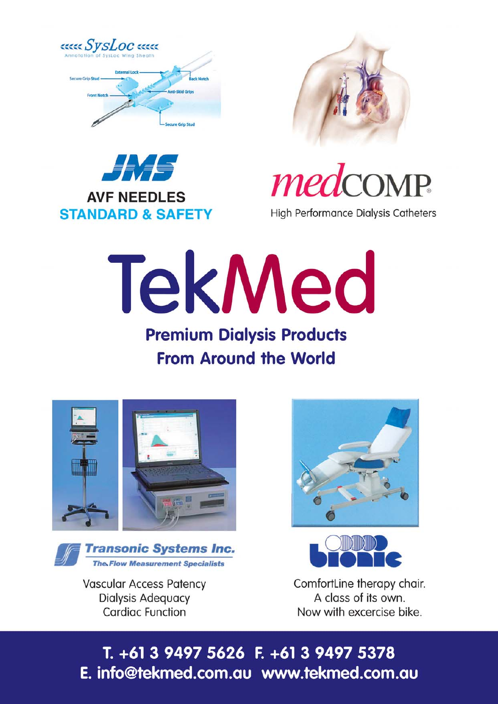







**High Performance Dialysis Catheters** 

# **TekMed Premium Dialysis Products**

## **From Around the World**





**Vascular Access Patency Dialysis Adequacy Cardiac Function** 





ComfortLine therapy chair. A class of its own. Now with excercise bike.

T. +61 3 9497 5626 F. +61 3 9497 5378 E. info@tekmed.com.au www.tekmed.com.au